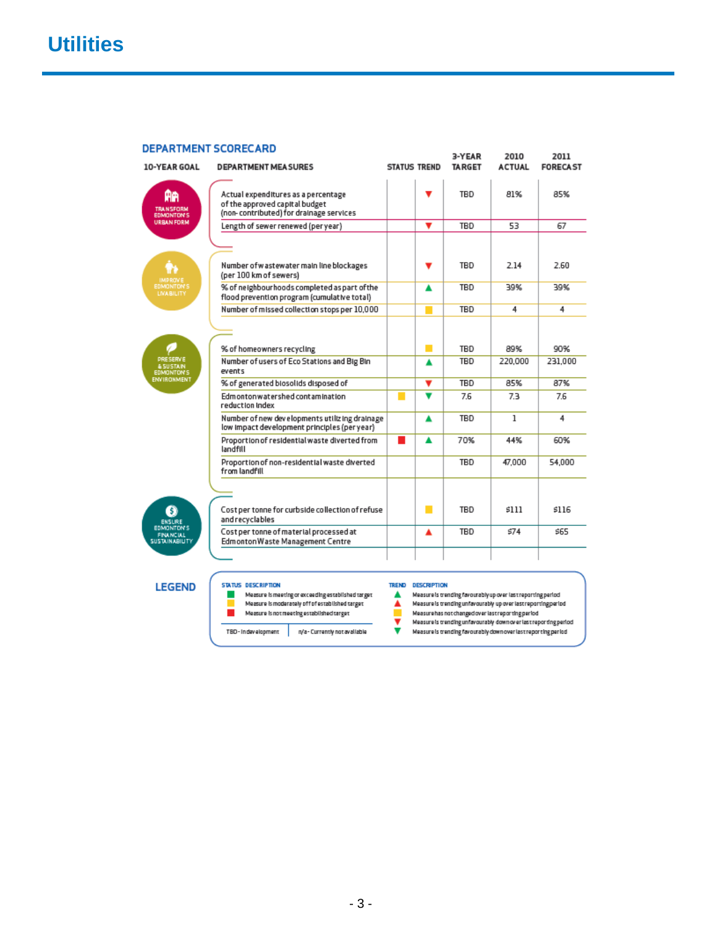| <b>DEPARTMENT SCORECARD</b>                                                    |                                                                                                                  |                     |                                                                                                                      | 3-YEAR        | 2010          | 2011            |
|--------------------------------------------------------------------------------|------------------------------------------------------------------------------------------------------------------|---------------------|----------------------------------------------------------------------------------------------------------------------|---------------|---------------|-----------------|
| 10-YEAR GOAL                                                                   | <b>DEPARTMENT MEASURES</b>                                                                                       | <b>STATUS TREND</b> |                                                                                                                      | <b>TARGET</b> | <b>ACTUAL</b> | <b>FORECAST</b> |
| AA<br><b>TRANSFORM</b><br><b>EDMONTON'S</b>                                    | Actual expenditures as a percentage<br>of the approved capital budget<br>(non-contributed) for drainage services |                     |                                                                                                                      | TBD           | 81%           | 85%             |
| <b>URBAN FORM</b>                                                              | Length of sewer renewed (per year)                                                                               |                     | v                                                                                                                    | TBD           | 53            | 67              |
|                                                                                |                                                                                                                  |                     |                                                                                                                      |               |               |                 |
| <b>IMPROVE</b><br><b>EDMONTON'S</b><br><b>LIVABILITY</b>                       | Number of wastewater main line blockages<br>(per 100 km of sewers)                                               |                     | v                                                                                                                    | TBD           | 2.14          | 2.60            |
|                                                                                | % of neighbourhoods completed as part of the<br>flood prevention program (cumulative total)                      |                     | ▲                                                                                                                    | <b>TBD</b>    | 39%           | 39%             |
|                                                                                | Number of missed collection stops per 10,000                                                                     |                     | <b>Contract Contract Contract Contract Contract Contract Contract Contract Contract Contract Contract Contract C</b> | TBD           | 4             | 4               |
|                                                                                |                                                                                                                  |                     |                                                                                                                      |               |               |                 |
|                                                                                | % of homeowners recycling                                                                                        |                     | п                                                                                                                    | TRD           | 89%           | 90%             |
| <b>PRESERVE</b><br><b>&amp; SUSTAIN</b><br><b>EDMONTON'S</b>                   | Number of users of Eco Stations and Big Bin<br>events                                                            |                     | ▲                                                                                                                    | TBD           | 220,000       | 231,000         |
| <b>ENVIRONMENT</b>                                                             | % of generated biosolids disposed of                                                                             |                     | ▼                                                                                                                    | TBD           | 85%           | 87%             |
|                                                                                | Edmontonwatershed contamination<br>reduction index                                                               | m.                  | $\overline{\phantom{a}}$                                                                                             | 7.6           | 7.3           | 7.6             |
|                                                                                | Number of new developments utilizing drainage<br>low impact development principles (per year)                    |                     | A                                                                                                                    | TBD           | $\mathbf{1}$  | 4               |
|                                                                                | Proportion of residential waste diverted from<br>landfill                                                        | <b>COL</b>          | ▲                                                                                                                    | 70%           | 44%           | 60%             |
|                                                                                | Proportion of non-residential waste diverted<br>from landfill                                                    |                     |                                                                                                                      | TBD           | 47,000        | 54,000          |
|                                                                                |                                                                                                                  |                     |                                                                                                                      |               |               |                 |
| 3)<br><b>ENSURE</b><br><b>EDMONTON'S</b><br><b>FINANCIAL</b><br>SUSTAINABILITY | Cost per tonne for curbside collection of refuse<br>andrecyclables                                               |                     | п                                                                                                                    | TBD           | 5111          | \$116           |
|                                                                                | Cost per tonne of material processed at<br>Edmonton Waste Management Centre                                      |                     | ▲                                                                                                                    | TBD           | 574           | \$65            |
|                                                                                |                                                                                                                  |                     |                                                                                                                      |               |               |                 |

## **LEGEND**

| Measure is meeting or exceeding established target |
|----------------------------------------------------|
| Measure is moderately off of established target    |

- Measure is not meeting established target  $\mathbf{r}$
- 

**STATUS DESCRIPTION** 

TBD-Indevelopment | n/a-Currently not available

## TREND DESCRIPTION

- 
- 
- ncessor and the sending favourably up over last reporting period<br>
Measure is trending unfavourably up over last reporting period<br>
Measure has not changed over last reporting period<br>
Measure is trending unfavourably down o
	-
- Weasurels trending favourably downover last reporting period